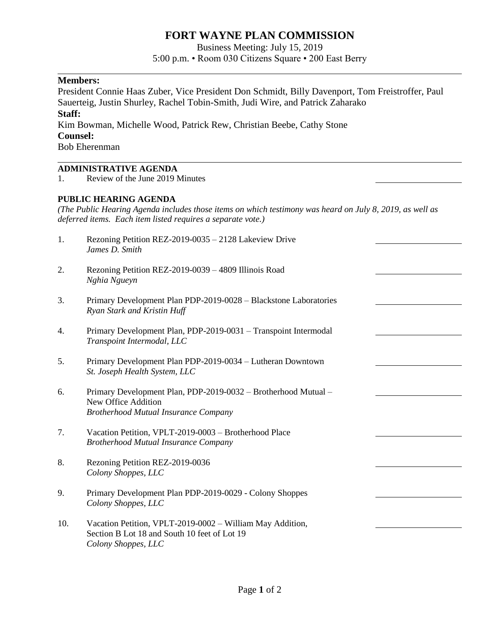# **FORT WAYNE PLAN COMMISSION**

Business Meeting: July 15, 2019

5:00 p.m. • Room 030 Citizens Square • 200 East Berry

l,

## **Members:**

President Connie Haas Zuber, Vice President Don Schmidt, Billy Davenport, Tom Freistroffer, Paul Sauerteig, Justin Shurley, Rachel Tobin-Smith, Judi Wire, and Patrick Zaharako **Staff:** 

Kim Bowman, Michelle Wood, Patrick Rew, Christian Beebe, Cathy Stone **Counsel:**

Bob Eherenman

## **ADMINISTRATIVE AGENDA**

1. Review of the June 2019 Minutes

#### **PUBLIC HEARING AGENDA**

*(The Public Hearing Agenda includes those items on which testimony was heard on July 8, 2019, as well as deferred items. Each item listed requires a separate vote.)*

| 1.  | Rezoning Petition REZ-2019-0035 - 2128 Lakeview Drive<br>James D. Smith                                                              |  |
|-----|--------------------------------------------------------------------------------------------------------------------------------------|--|
| 2.  | Rezoning Petition REZ-2019-0039 - 4809 Illinois Road<br>Nghia Ngueyn                                                                 |  |
| 3.  | Primary Development Plan PDP-2019-0028 - Blackstone Laboratories<br>Ryan Stark and Kristin Huff                                      |  |
| 4.  | Primary Development Plan, PDP-2019-0031 - Transpoint Intermodal<br>Transpoint Intermodal, LLC                                        |  |
| 5.  | Primary Development Plan PDP-2019-0034 - Lutheran Downtown<br>St. Joseph Health System, LLC                                          |  |
| 6.  | Primary Development Plan, PDP-2019-0032 - Brotherhood Mutual -<br>New Office Addition<br><b>Brotherhood Mutual Insurance Company</b> |  |
| 7.  | Vacation Petition, VPLT-2019-0003 - Brotherhood Place<br><b>Brotherhood Mutual Insurance Company</b>                                 |  |
| 8.  | Rezoning Petition REZ-2019-0036<br>Colony Shoppes, LLC                                                                               |  |
| 9.  | Primary Development Plan PDP-2019-0029 - Colony Shoppes<br>Colony Shoppes, LLC                                                       |  |
| 10. | Vacation Petition, VPLT-2019-0002 - William May Addition,<br>Section B Lot 18 and South 10 feet of Lot 19<br>Colony Shoppes, LLC     |  |